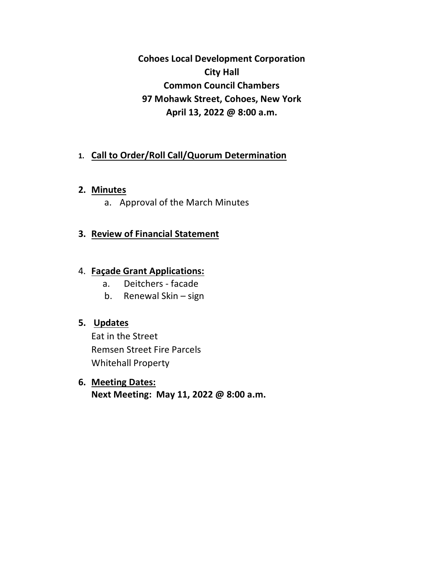**Cohoes Local Development Corporation City Hall Common Council Chambers 97 Mohawk Street, Cohoes, New York April 13, 2022 @ 8:00 a.m.**

# **1. Call to Order/Roll Call/Quorum Determination**

### **2. Minutes**

a. Approval of the March Minutes

# **3. Review of Financial Statement**

### 4. **Façade Grant Applications:**

- a. Deitchers facade
- b. Renewal Skin sign

# **5. Updates**

Eat in the Street Remsen Street Fire Parcels Whitehall Property

# **6. Meeting Dates:**

**Next Meeting: May 11, 2022 @ 8:00 a.m.**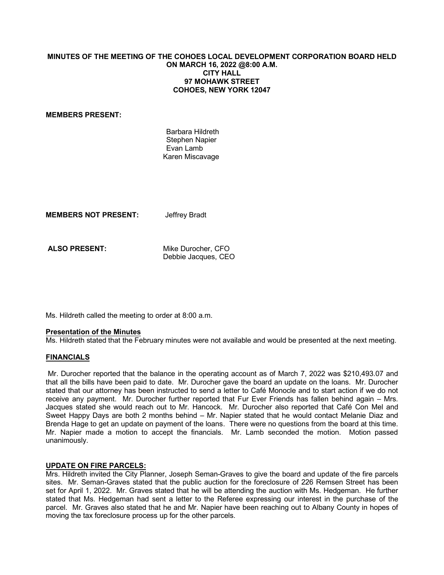### **MINUTES OF THE MEETING OF THE COHOES LOCAL DEVELOPMENT CORPORATION BOARD HELD ON MARCH 16, 2022 @8:00 A.M. CITY HALL 97 MOHAWK STREET COHOES, NEW YORK 12047**

#### **MEMBERS PRESENT:**

 Barbara Hildreth Stephen Napier Evan Lamb Karen Miscavage

**MEMBERS NOT PRESENT:** Jeffrey Bradt

ALSO PRESENT: Mike Durocher, CFO Debbie Jacques, CEO

Ms. Hildreth called the meeting to order at 8:00 a.m.

#### **Presentation of the Minutes**

Ms. Hildreth stated that the February minutes were not available and would be presented at the next meeting.

#### **FINANCIALS**

 Mr. Durocher reported that the balance in the operating account as of March 7, 2022 was \$210,493.07 and that all the bills have been paid to date. Mr. Durocher gave the board an update on the loans. Mr. Durocher stated that our attorney has been instructed to send a letter to Café Monocle and to start action if we do not receive any payment. Mr. Durocher further reported that Fur Ever Friends has fallen behind again – Mrs. Jacques stated she would reach out to Mr. Hancock. Mr. Durocher also reported that Café Con Mel and Sweet Happy Days are both 2 months behind – Mr. Napier stated that he would contact Melanie Diaz and Brenda Hage to get an update on payment of the loans. There were no questions from the board at this time. Mr. Napier made a motion to accept the financials. Mr. Lamb seconded the motion. Motion passed unanimously.

#### **UPDATE ON FIRE PARCELS:**

Mrs. Hildreth invited the City Planner, Joseph Seman-Graves to give the board and update of the fire parcels sites. Mr. Seman-Graves stated that the public auction for the foreclosure of 226 Remsen Street has been set for April 1, 2022. Mr. Graves stated that he will be attending the auction with Ms. Hedgeman. He further stated that Ms. Hedgeman had sent a letter to the Referee expressing our interest in the purchase of the parcel. Mr. Graves also stated that he and Mr. Napier have been reaching out to Albany County in hopes of moving the tax foreclosure process up for the other parcels.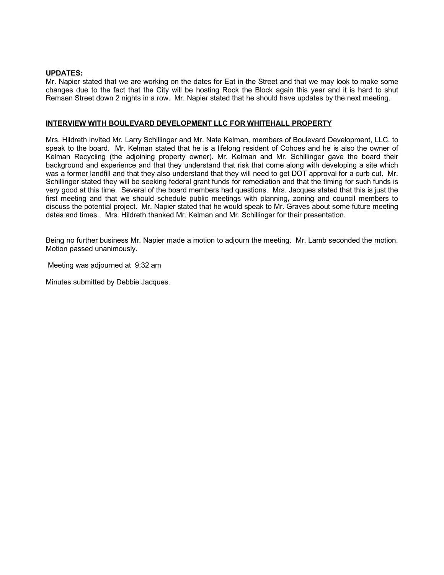#### **UPDATES:**

Mr. Napier stated that we are working on the dates for Eat in the Street and that we may look to make some changes due to the fact that the City will be hosting Rock the Block again this year and it is hard to shut Remsen Street down 2 nights in a row. Mr. Napier stated that he should have updates by the next meeting.

### **INTERVIEW WITH BOULEVARD DEVELOPMENT LLC FOR WHITEHALL PROPERTY**

Mrs. Hildreth invited Mr. Larry Schillinger and Mr. Nate Kelman, members of Boulevard Development, LLC, to speak to the board. Mr. Kelman stated that he is a lifelong resident of Cohoes and he is also the owner of Kelman Recycling (the adjoining property owner). Mr. Kelman and Mr. Schillinger gave the board their background and experience and that they understand that risk that come along with developing a site which was a former landfill and that they also understand that they will need to get DOT approval for a curb cut. Mr. Schillinger stated they will be seeking federal grant funds for remediation and that the timing for such funds is very good at this time. Several of the board members had questions. Mrs. Jacques stated that this is just the first meeting and that we should schedule public meetings with planning, zoning and council members to discuss the potential project. Mr. Napier stated that he would speak to Mr. Graves about some future meeting dates and times. Mrs. Hildreth thanked Mr. Kelman and Mr. Schillinger for their presentation.

Being no further business Mr. Napier made a motion to adjourn the meeting. Mr. Lamb seconded the motion. Motion passed unanimously.

Meeting was adjourned at 9:32 am

Minutes submitted by Debbie Jacques.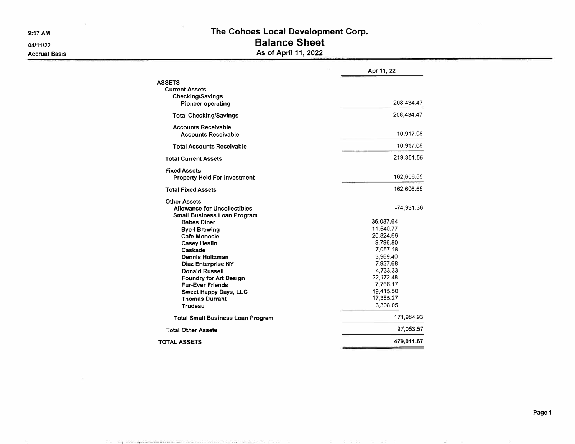**9:17 AM** 

**04/11/22** 

- 96

To provide the control

math annul 2001 - 2002, a 2003, an 2009, ann ann an 2004.

**Accrual Basis** 

|                                          | Apr 11, 22 |
|------------------------------------------|------------|
| <b>ASSETS</b>                            |            |
| <b>Current Assets</b>                    |            |
| <b>Checking/Savings</b>                  |            |
| Pioneer operating                        | 208,434.47 |
| <b>Total Checking/Savings</b>            | 208,434.47 |
| <b>Accounts Receivable</b>               |            |
| <b>Accounts Receivable</b>               | 10,917.08  |
| <b>Total Accounts Receivable</b>         | 10,917.08  |
| <b>Total Current Assets</b>              | 219,351.55 |
| <b>Fixed Assets</b>                      |            |
| <b>Property Held For Investment</b>      | 162,606.55 |
| <b>Total Fixed Assets</b>                | 162,606.55 |
| <b>Other Assets</b>                      |            |
| Allowance for Uncollectibles             | -74,931.36 |
| Small Business Loan Program              |            |
| <b>Babes Diner</b>                       | 36,087.64  |
| <b>Bye-I Brewing</b>                     | 11,540.77  |
| Cafe Monocle                             | 20,824.66  |
| <b>Casey Heslin</b>                      | 9,796.80   |
| Caskade                                  | 7,057.18   |
| Dennis Holtzman                          | 3,969.40   |
| Diaz Enterprise NY                       | 7,927.68   |
| <b>Donald Russell</b>                    | 4,733.33   |
| <b>Foundry for Art Design</b>            | 22,172.48  |
| <b>Fur-Ever Friends</b>                  | 7,766.17   |
| Sweet Happy Days, LLC                    | 19,415.50  |
| <b>Thomas Durrant</b>                    | 17,385.27  |
| Trudeau                                  | 3,308.05   |
| <b>Total Small Business Loan Program</b> | 171,984.93 |
| Total Other Assets                       | 97,053.57  |
| <b>TOTAL ASSETS</b>                      | 479,011.67 |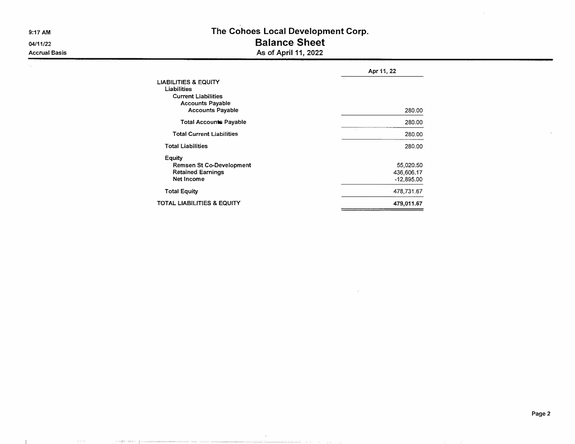**9:17 AM** 

**04/11/22 Accrual Basis** 

ca.

 $E$ 

3333

 $\label{eq:1} \alpha_{\alpha} = \frac{1}{2} \sum_{i=1}^{n} \alpha_{i} \left( \frac{1}{2} \sum_{i=1}^{n} \alpha_{i} \left( \frac{1}{2} \sum_{i=1}^{n} \frac{1}{2} \right) \right)$ 

74

### **The Cohoes Local Development Corp. Balance Sheet As of April 11, 2022**

|                                                                                                         | Apr 11, 22                              |  |  |  |  |  |
|---------------------------------------------------------------------------------------------------------|-----------------------------------------|--|--|--|--|--|
| <b>LIABILITIES &amp; EQUITY</b><br>Liabilities<br><b>Current Liabilities</b><br><b>Accounts Payable</b> |                                         |  |  |  |  |  |
| <b>Accounts Payable</b>                                                                                 | 280,00                                  |  |  |  |  |  |
| <b>Total Accounts Payable</b>                                                                           | 280.00                                  |  |  |  |  |  |
| <b>Total Current Liabilities</b>                                                                        | 280.00                                  |  |  |  |  |  |
| <b>Total Liabilities</b>                                                                                | 280.00                                  |  |  |  |  |  |
| Equity<br>Remsen St Co-Development<br><b>Retained Earnings</b><br>Net Income                            | 55,020.50<br>436,606.17<br>$-12.895.00$ |  |  |  |  |  |
| <b>Total Equity</b>                                                                                     | 478,731.67                              |  |  |  |  |  |
| TOTAL LIABILITIES & EQUITY                                                                              | 479,011.67                              |  |  |  |  |  |

 $\sim$ 

manage of a common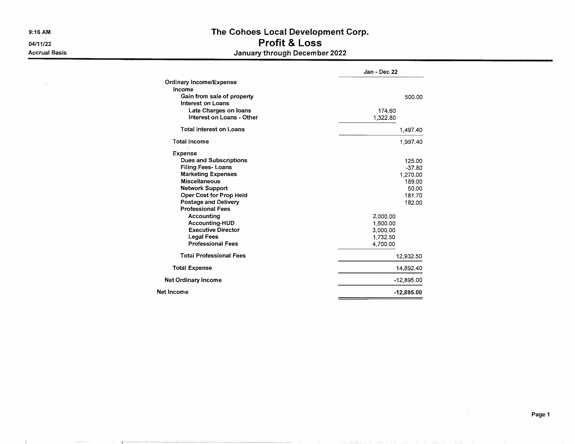**9:16AM** 

**04/11/22 Accrual Basis** 

- 10

 $\frac{1}{2}$  30 m m s  $\lambda$ 

 $\mathbb{R}^n$  . The space

## **The Cohoes Local Development Corp. Profit & Loss January through December 2022**

|                                | Jan - Dec 22 |
|--------------------------------|--------------|
| Ordinary Income/Expense        |              |
| Income                         |              |
| Gain from sale of property     | 500.00       |
| Interest on Loans              |              |
| Late Charges on loans          | 174.60       |
| Interest on Loans - Other      | 1,322.80     |
| <b>Total Interest on Loans</b> | 1,497.40     |
| <b>Total Income</b>            | 1,997.40     |
| Expense                        |              |
| <b>Dues and Subscriptions</b>  | 125.00       |
| <b>Filing Fees-Loans</b>       | $-37.80$     |
| <b>Marketing Expenses</b>      | 1,270.00     |
| <b>Miscellaneous</b>           | 189.00       |
| <b>Network Support</b>         | 50.00        |
| Oper Cost for Prop Held        | 181.70       |
| Postage and Delivery           | 182.00       |
| <b>Professional Fees</b>       |              |
| Accounting                     | 2,000.00     |
| Accounting-HUD                 | 1,500.00     |
| <b>Executive Director</b>      | 3,000.00     |
| <b>Legal Fees</b>              | 1,732.50     |
| <b>Professional Fees</b>       | 4,700.00     |
| <b>Total Professional Fees</b> | 12,932.50    |
| <b>Total Expense</b>           | 14,892.40    |
| <b>Net Ordinary Income</b>     | $-12,895.00$ |
| Net Income                     | $-12,895.00$ |

**Page 1**